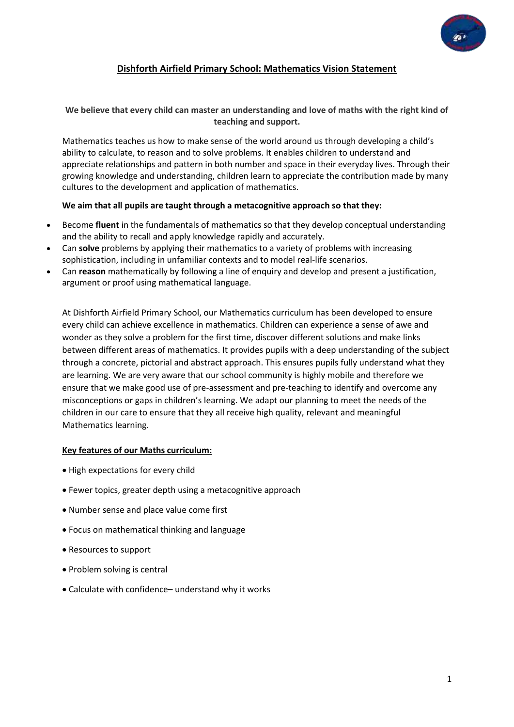

# **Dishforth Airfield Primary School: Mathematics Vision Statement**

#### **We believe that every child can master an understanding and love of maths with the right kind of teaching and support.**

Mathematics teaches us how to make sense of the world around us through developing a child's ability to calculate, to reason and to solve problems. It enables children to understand and appreciate relationships and pattern in both number and space in their everyday lives. Through their growing knowledge and understanding, children learn to appreciate the contribution made by many cultures to the development and application of mathematics.

#### **We aim that all pupils are taught through a metacognitive approach so that they:**

- Become **fluent** in the fundamentals of mathematics so that they develop conceptual understanding and the ability to recall and apply knowledge rapidly and accurately.
- Can **solve** problems by applying their mathematics to a variety of problems with increasing sophistication, including in unfamiliar contexts and to model real-life scenarios.
- Can **reason** mathematically by following a line of enquiry and develop and present a justification, argument or proof using mathematical language.

At Dishforth Airfield Primary School, our Mathematics curriculum has been developed to ensure every child can achieve excellence in mathematics. Children can experience a sense of awe and wonder as they solve a problem for the first time, discover different solutions and make links between different areas of mathematics. It provides pupils with a deep understanding of the subject through a concrete, pictorial and abstract approach. This ensures pupils fully understand what they are learning. We are very aware that our school community is highly mobile and therefore we ensure that we make good use of pre-assessment and pre-teaching to identify and overcome any misconceptions or gaps in children's learning. We adapt our planning to meet the needs of the children in our care to ensure that they all receive high quality, relevant and meaningful Mathematics learning.

#### **Key features of our Maths curriculum:**

- High expectations for every child
- Fewer topics, greater depth using a metacognitive approach
- Number sense and place value come first
- Focus on mathematical thinking and language
- Resources to support
- Problem solving is central
- Calculate with confidence– understand why it works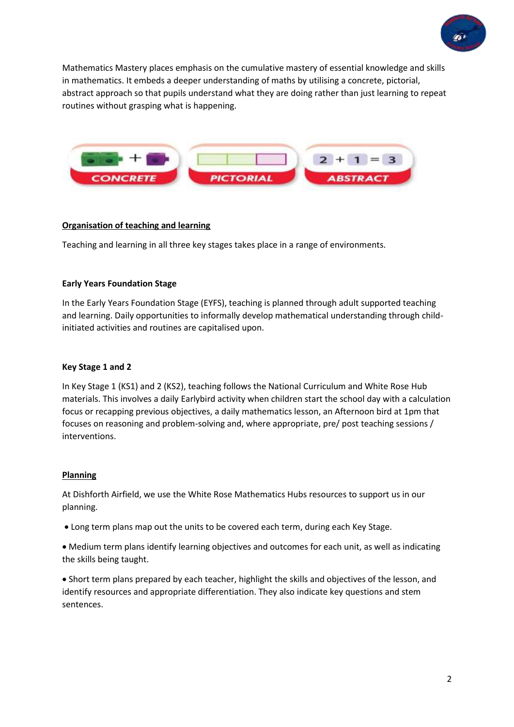

Mathematics Mastery places emphasis on the cumulative mastery of essential knowledge and skills in mathematics. It embeds a deeper understanding of maths by utilising a concrete, pictorial, abstract approach so that pupils understand what they are doing rather than just learning to repeat routines without grasping what is happening.



### **Organisation of teaching and learning**

Teaching and learning in all three key stages takes place in a range of environments.

### **Early Years Foundation Stage**

In the Early Years Foundation Stage (EYFS), teaching is planned through adult supported teaching and learning. Daily opportunities to informally develop mathematical understanding through childinitiated activities and routines are capitalised upon.

#### **Key Stage 1 and 2**

In Key Stage 1 (KS1) and 2 (KS2), teaching follows the National Curriculum and White Rose Hub materials. This involves a daily Earlybird activity when children start the school day with a calculation focus or recapping previous objectives, a daily mathematics lesson, an Afternoon bird at 1pm that focuses on reasoning and problem-solving and, where appropriate, pre/ post teaching sessions / interventions.

#### **Planning**

At Dishforth Airfield, we use the White Rose Mathematics Hubs resources to support us in our planning.

Long term plans map out the units to be covered each term, during each Key Stage.

 Medium term plans identify learning objectives and outcomes for each unit, as well as indicating the skills being taught.

 Short term plans prepared by each teacher, highlight the skills and objectives of the lesson, and identify resources and appropriate differentiation. They also indicate key questions and stem sentences.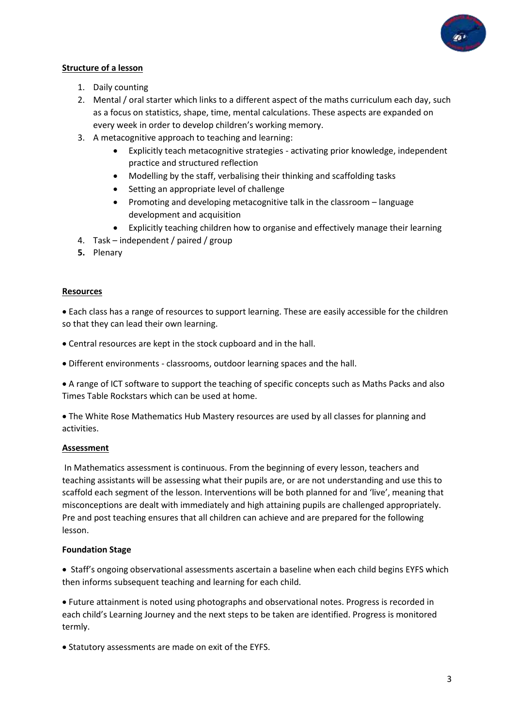

### **Structure of a lesson**

- 1. Daily counting
- 2. Mental / oral starter which links to a different aspect of the maths curriculum each day, such as a focus on statistics, shape, time, mental calculations. These aspects are expanded on every week in order to develop children's working memory.
- 3. A metacognitive approach to teaching and learning:
	- Explicitly teach metacognitive strategies activating prior knowledge, independent practice and structured reflection
	- Modelling by the staff, verbalising their thinking and scaffolding tasks
	- Setting an appropriate level of challenge
	- Promoting and developing metacognitive talk in the classroom language development and acquisition
	- Explicitly teaching children how to organise and effectively manage their learning
- 4. Task independent / paired / group
- **5.** Plenary

### **Resources**

 Each class has a range of resources to support learning. These are easily accessible for the children so that they can lead their own learning.

Central resources are kept in the stock cupboard and in the hall.

Different environments - classrooms, outdoor learning spaces and the hall.

 A range of ICT software to support the teaching of specific concepts such as Maths Packs and also Times Table Rockstars which can be used at home.

 The White Rose Mathematics Hub Mastery resources are used by all classes for planning and activities.

## **Assessment**

In Mathematics assessment is continuous. From the beginning of every lesson, teachers and teaching assistants will be assessing what their pupils are, or are not understanding and use this to scaffold each segment of the lesson. Interventions will be both planned for and 'live', meaning that misconceptions are dealt with immediately and high attaining pupils are challenged appropriately. Pre and post teaching ensures that all children can achieve and are prepared for the following lesson.

#### **Foundation Stage**

• Staff's ongoing observational assessments ascertain a baseline when each child begins EYFS which then informs subsequent teaching and learning for each child.

 Future attainment is noted using photographs and observational notes. Progress is recorded in each child's Learning Journey and the next steps to be taken are identified. Progress is monitored termly.

Statutory assessments are made on exit of the EYFS.